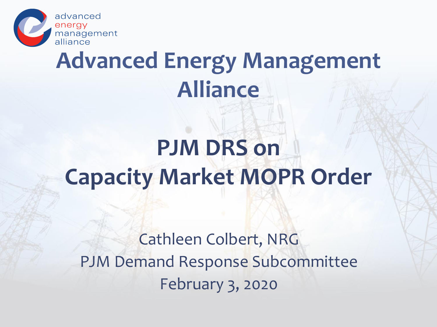

#### **Advanced Energy Management Alliance**

## **PJM DRS on Capacity Market MOPR Order**

Cathleen Colbert, NRG PJM Demand Response Subcommittee February 3, 2020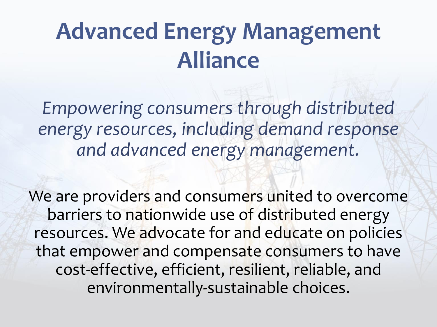### **Advanced Energy Management Alliance**

*Empowering consumers through distributed energy resources, including demand response and advanced energy management.*

We are providers and consumers united to overcome barriers to nationwide use of distributed energy resources. We advocate for and educate on policies that empower and compensate consumers to have cost-effective, efficient, resilient, reliable, and environmentally-sustainable choices.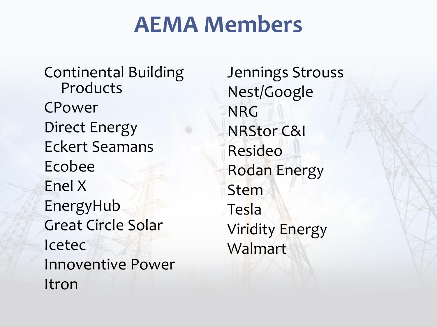#### **AEMA Members**

Continental Building Products CPower Direct Energy Eckert Seamans Ecobee Enel X EnergyHub Great Circle Solar Icetec Innoventive Power Itron

Jennings Strouss Nest/Google NRG NRStor C&I Resideo Rodan Energy Stem **Tesla** Viridity Energy Walmart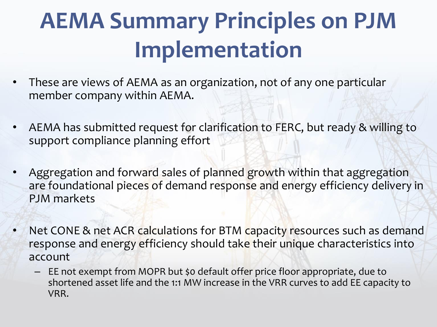## **AEMA Summary Principles on PJM Implementation**

- These are views of AEMA as an organization, not of any one particular member company within AEMA.
- AEMA has submitted request for clarification to FERC, but ready & willing to support compliance planning effort
- Aggregation and forward sales of planned growth within that aggregation are foundational pieces of demand response and energy efficiency delivery in PJM markets
- Net CONE & net ACR calculations for BTM capacity resources such as demand response and energy efficiency should take their unique characteristics into account
	- EE not exempt from MOPR but \$0 default offer price floor appropriate, due to shortened asset life and the 1:1 MW increase in the VRR curves to add EE capacity to VRR.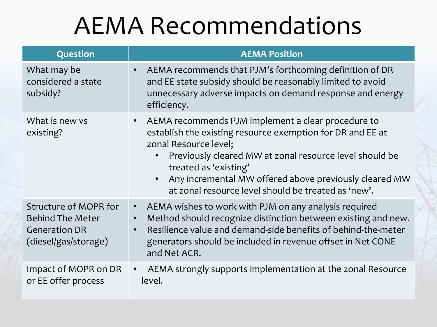## AEMA Recommendations

| Question                                                                                         | <b>AEMA Position</b>                                                                                                                                                                                                                                                                                                                                                                  |
|--------------------------------------------------------------------------------------------------|---------------------------------------------------------------------------------------------------------------------------------------------------------------------------------------------------------------------------------------------------------------------------------------------------------------------------------------------------------------------------------------|
| What may be<br>considered a state<br>subsidy?                                                    | AEMA recommends that PJM's forthcoming definition of DR<br>$\bullet$<br>and EE state subsidy should be reasonably limited to avoid<br>unnecessary adverse impacts on demand response and energy<br>efficiency.                                                                                                                                                                        |
| What is new ys<br>existing?                                                                      | AEMA recommends PJM implement a clear procedure to<br>$\bullet$<br>establish the existing resource exemption for DR and EE at<br>zonal Resource level;<br>Previously cleared MW at zonal resource level should be<br>$\bullet$<br>treated as 'existing'<br>Any incremental MW offered above previously cleared MW<br>$\bullet$<br>at zonal resource level should be treated as 'new'. |
| Structure of MOPR for<br><b>Behind The Meter</b><br><b>Generation DR</b><br>(diesel/gas/storage) | AEMA wishes to work with PJM on any analysis required<br>$\bullet$<br>Method should recognize distinction between existing and new.<br>$\bullet$<br>Resilience value and demand-side benefits of behind-the-meter<br>$\bullet$<br>generators should be included in revenue offset in Net CONE<br>and Net ACR.                                                                         |
| Impact of MOPR on DR<br>or EE offer process                                                      | AEMA strongly supports implementation at the zonal Resource<br>$\bullet$<br>level.                                                                                                                                                                                                                                                                                                    |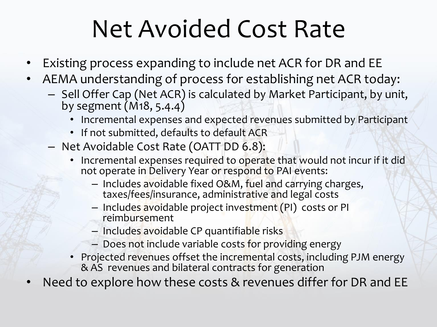## Net Avoided Cost Rate

- Existing process expanding to include net ACR for DR and EE
- AEMA understanding of process for establishing net ACR today:
	- Sell Offer Cap (Net ACR) is calculated by Market Participant, by unit, by segment (M18, 5.4.4)
		- Incremental expenses and expected revenues submitted by Participant
		- If not submitted, defaults to default ACR
	- Net Avoidable Cost Rate (OATT DD 6.8):
		- Incremental expenses required to operate that would not incur if it did not operate in Delivery Year or respond to PAI events:
			- Includes avoidable fixed O&M, fuel and carrying charges, taxes/fees/insurance, administrative and legal costs
			- Includes avoidable project investment (PI) costs or PI reimbursement
			- Includes avoidable CP quantifiable risks
			- Does not include variable costs for providing energy
		- Projected revenues offset the incremental costs, including PJM energy & AS revenues and bilateral contracts for generation

Need to explore how these costs & revenues differ for DR and EE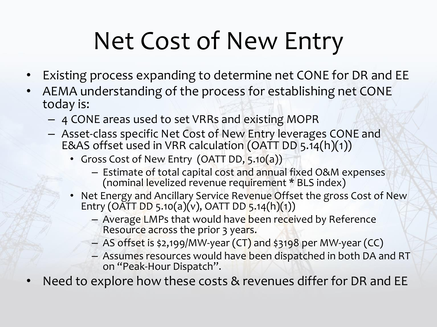# Net Cost of New Entry

- Existing process expanding to determine net CONE for DR and EE
- AEMA understanding of the process for establishing net CONE today is:
	- 4 CONE areas used to set VRRs and existing MOPR
	- Asset-class specific Net Cost of New Entry leverages CONE and E&AS offset used in VRR calculation (OATT DD 5.14(h)(1))
		- Gross Cost of New Entry (OATT DD, 5.10(a))
			- Estimate of total capital cost and annual fixed O&M expenses (nominal levelized revenue requirement \* BLS index)
		- Net Energy and Ancillary Service Revenue Offset the gross Cost of New Entry (OATT DD 5.10(a)(v), OATT DD 5.14(h)(1))
			- Average LMPs that would have been received by Reference Resource across the prior 3 years.
			- AS offset is \$2,199/MW-year (CT) and \$3198 per MW-year (CC)
			- Assumes resources would have been dispatched in both DA and RT on "Peak-Hour Dispatch".
- Need to explore how these costs & revenues differ for DR and EE